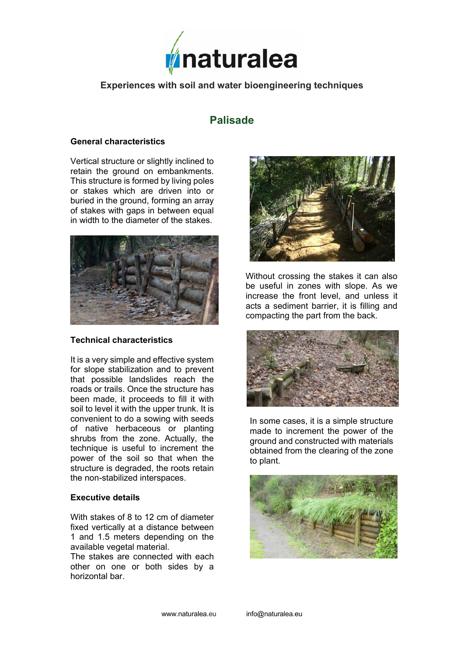

### **Experiences with soil and water bioengineering techniques**

# **Palisade**

#### **General characteristics**

Vertical structure or slightly inclined to retain the ground on embankments. This structure is formed by living poles or stakes which are driven into or buried in the ground, forming an array of stakes with gaps in between equal in width to the diameter of the stakes.



#### **Technical characteristics**

It is a very simple and effective system for slope stabilization and to prevent that possible landslides reach the roads or trails. Once the structure has been made, it proceeds to fill it with soil to level it with the upper trunk. It is convenient to do a sowing with seeds of native herbaceous or planting shrubs from the zone. Actually, the technique is useful to increment the power of the soil so that when the structure is degraded, the roots retain the non-stabilized interspaces.

#### **Executive details**

With stakes of 8 to 12 cm of diameter fixed vertically at a distance between 1 and 1.5 meters depending on the available vegetal material.

The stakes are connected with each other on one or both sides by a horizontal bar.



Without crossing the stakes it can also be useful in zones with slope. As we increase the front level, and unless it acts a sediment barrier, it is filling and compacting the part from the back.



In some cases, it is a simple structure made to increment the power of the ground and constructed with materials obtained from the clearing of the zone to plant.